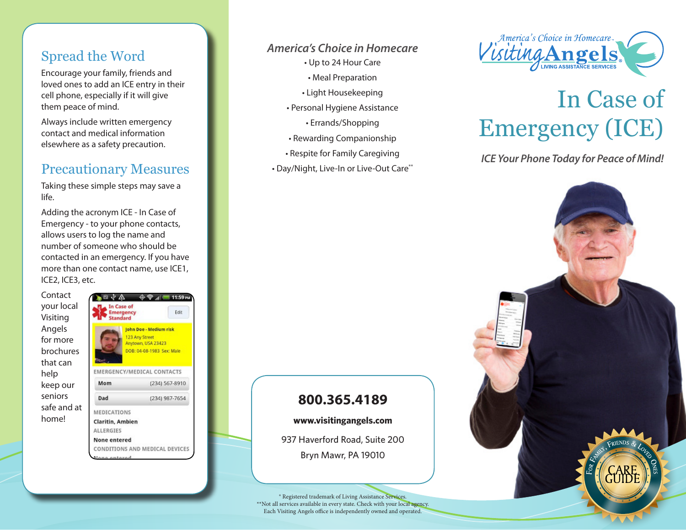## Spread the Word

Encourage your family, friends and loved ones to add an ICE entry in their cell phone, especially if it will give them peace of mind.

Always include written emergency contact and medical information elsewhere as a safety precaution.

### Precautionary Measures

Taking these simple steps may save a life.

Adding the acronym ICE - In Case of Emergency - to your phone contacts, allows users to log the name and number of someone who should be contacted in an emergency. If you have more than one contact name, use ICE1, ICE2, ICE3, etc.

Contact your local Visiting Angels for more brochures that can help keep our seniors safe and at home!



#### *America's Choice in Homecare*

- Up to 24 Hour Care
	- Meal Preparation
- Light Housekeeping
- Personal Hygiene Assistance
	- Errands/Shopping
- Rewarding Companionship
- Respite for Family Caregiving
- Day/Night, Live-In or Live-Out Care\*\*



# In Case of Emergency (ICE)

*ICE Your Phone Today for Peace of Mind!*



## **800.365.4189**

**www.visitingangels.com**

937 Haverford Road, Suite 200 Bryn Mawr, PA 19010

® Registered trademark of Living Assistance Services. \*\*Not all services available in every state. Check with your local agency. Each Visiting Angels office is independently owned and operated.